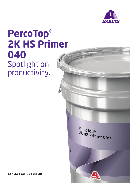

## **PercoTop® 2K HS Primer 040** Spotlight on productivity.

PercoTop®<br>2K HS Primer 040